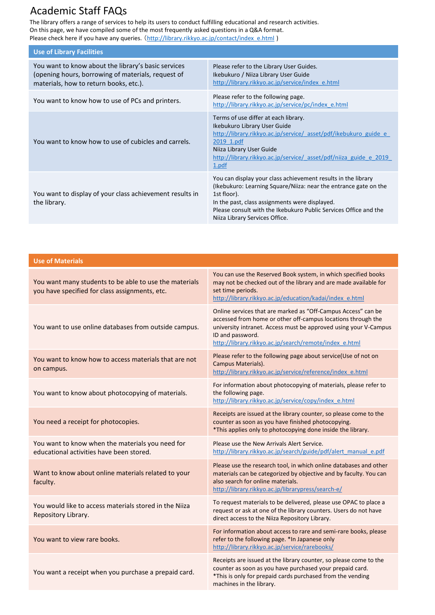## Academic Staff FAQs

The library offers a range of services to help its users to conduct fulfilling educational and research activities. On this page, we have compiled some of the most frequently asked questions in a Q&A format. Please check here if you have any queries. ([http://library.rikkyo.ac.jp/contact/index\\_e.html](http://library.rikkyo.ac.jp/contact/index_e.html) )

| <b>Use of Library Facilities</b>                                                                                                                    |                                                                                                                                                                                                                                                                                                          |
|-----------------------------------------------------------------------------------------------------------------------------------------------------|----------------------------------------------------------------------------------------------------------------------------------------------------------------------------------------------------------------------------------------------------------------------------------------------------------|
| You want to know about the library's basic services<br>(opening hours, borrowing of materials, request of<br>materials, how to return books, etc.). | Please refer to the Library User Guides.<br>Ikebukuro / Niiza Library User Guide<br>http://library.rikkyo.ac.jp/service/index e.html                                                                                                                                                                     |
| You want to know how to use of PCs and printers.                                                                                                    | Please refer to the following page.<br>http://library.rikkyo.ac.jp/service/pc/index e.html                                                                                                                                                                                                               |
| You want to know how to use of cubicles and carrels.                                                                                                | Terms of use differ at each library.<br>Ikebukuro Library User Guide<br>http://library.rikkyo.ac.jp/service/ asset/pdf/ikebukuro guide e<br>2019 1.pdf<br>Niiza Library User Guide<br>http://library.rikkyo.ac.jp/service/ asset/pdf/niiza guide e 2019<br>1.pdf                                         |
| You want to display of your class achievement results in<br>the library.                                                                            | You can display your class achievement results in the library<br>(Ikebukuro: Learning Square/Niiza: near the entrance gate on the<br>1st floor).<br>In the past, class assignments were displayed.<br>Please consult with the Ikebukuro Public Services Office and the<br>Niiza Library Services Office. |

| <b>Use of Materials</b>                                                                                  |                                                                                                                                                                                                                                                                                 |  |
|----------------------------------------------------------------------------------------------------------|---------------------------------------------------------------------------------------------------------------------------------------------------------------------------------------------------------------------------------------------------------------------------------|--|
| You want many students to be able to use the materials<br>you have specified for class assignments, etc. | You can use the Reserved Book system, in which specified books<br>may not be checked out of the library and are made available for<br>set time periods.<br>http://library.rikkyo.ac.jp/education/kadai/index_e.html                                                             |  |
| You want to use online databases from outside campus.                                                    | Online services that are marked as "Off-Campus Access" can be<br>accessed from home or other off-campus locations through the<br>university intranet. Access must be approved using your V-Campus<br>ID and password.<br>http://library.rikkyo.ac.jp/search/remote/index_e.html |  |
| You want to know how to access materials that are not<br>on campus.                                      | Please refer to the following page about service(Use of not on<br>Campus Materials).<br>http://library.rikkyo.ac.jp/service/reference/index_e.html                                                                                                                              |  |
| You want to know about photocopying of materials.                                                        | For information about photocopying of materials, please refer to<br>the following page.<br>http://library.rikkyo.ac.jp/service/copy/index_e.html                                                                                                                                |  |
| You need a receipt for photocopies.                                                                      | Receipts are issued at the library counter, so please come to the<br>counter as soon as you have finished photocopying.<br>*This applies only to photocopying done inside the library.                                                                                          |  |
| You want to know when the materials you need for<br>educational activities have been stored.             | Please use the New Arrivals Alert Service.<br>http://library.rikkyo.ac.jp/search/guide/pdf/alert manual e.pdf                                                                                                                                                                   |  |
| Want to know about online materials related to your<br>faculty.                                          | Please use the research tool, in which online databases and other<br>materials can be categorized by objective and by faculty. You can<br>also search for online materials.<br>http://library.rikkyo.ac.jp/librarypress/search-e/                                               |  |
| You would like to access materials stored in the Niiza<br>Repository Library.                            | To request materials to be delivered, please use OPAC to place a<br>request or ask at one of the library counters. Users do not have<br>direct access to the Niiza Repository Library.                                                                                          |  |
| You want to view rare books.                                                                             | For information about access to rare and semi-rare books, please<br>refer to the following page. *In Japanese only<br>http://library.rikkyo.ac.jp/service/rarebooks/                                                                                                            |  |
| You want a receipt when you purchase a prepaid card.                                                     | Receipts are issued at the library counter, so please come to the<br>counter as soon as you have purchased your prepaid card.<br>*This is only for prepaid cards purchased from the vending<br>machines in the library.                                                         |  |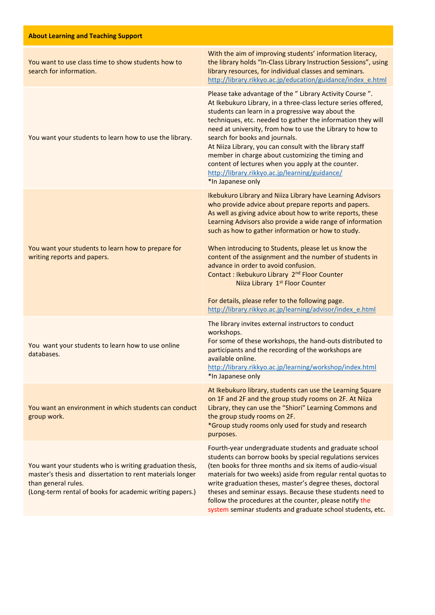| <b>About Learning and Teaching Support</b>                                                                                                                                                               |                                                                                                                                                                                                                                                                                                                                                                                                                                                                                                                                                                                                                                                                                  |
|----------------------------------------------------------------------------------------------------------------------------------------------------------------------------------------------------------|----------------------------------------------------------------------------------------------------------------------------------------------------------------------------------------------------------------------------------------------------------------------------------------------------------------------------------------------------------------------------------------------------------------------------------------------------------------------------------------------------------------------------------------------------------------------------------------------------------------------------------------------------------------------------------|
| You want to use class time to show students how to<br>search for information.                                                                                                                            | With the aim of improving students' information literacy,<br>the library holds "In-Class Library Instruction Sessions", using<br>library resources, for individual classes and seminars.<br>http://library.rikkyo.ac.jp/education/guidance/index_e.html                                                                                                                                                                                                                                                                                                                                                                                                                          |
| You want your students to learn how to use the library.                                                                                                                                                  | Please take advantage of the " Library Activity Course ".<br>At Ikebukuro Library, in a three-class lecture series offered,<br>students can learn in a progressive way about the<br>techniques, etc. needed to gather the information they will<br>need at university, from how to use the Library to how to<br>search for books and journals.<br>At Niiza Library, you can consult with the library staff<br>member in charge about customizing the timing and<br>content of lectures when you apply at the counter.<br>http://library.rikkyo.ac.jp/learning/guidance/<br>*In Japanese only                                                                                     |
| You want your students to learn how to prepare for<br>writing reports and papers.                                                                                                                        | Ikebukuro Library and Niiza Library have Learning Advisors<br>who provide advice about prepare reports and papers.<br>As well as giving advice about how to write reports, these<br>Learning Advisors also provide a wide range of information<br>such as how to gather information or how to study.<br>When introducing to Students, please let us know the<br>content of the assignment and the number of students in<br>advance in order to avoid confusion.<br>Contact : Ikebukuro Library 2 <sup>nd</sup> Floor Counter<br>Niiza Library 1st Floor Counter<br>For details, please refer to the following page.<br>http://library.rikkyo.ac.jp/learning/advisor/index_e.html |
| You want your students to learn how to use online<br>databases.                                                                                                                                          | The library invites external instructors to conduct<br>workshops.<br>For some of these workshops, the hand-outs distributed to<br>participants and the recording of the workshops are<br>available online.<br>http://library.rikkyo.ac.jp/learning/workshop/index.html<br>*In Japanese only                                                                                                                                                                                                                                                                                                                                                                                      |
| You want an environment in which students can conduct<br>group work.                                                                                                                                     | At Ikebukuro library, students can use the Learning Square<br>on 1F and 2F and the group study rooms on 2F. At Niiza<br>Library, they can use the "Shiori" Learning Commons and<br>the group study rooms on 2F.<br>*Group study rooms only used for study and research<br>purposes.                                                                                                                                                                                                                                                                                                                                                                                              |
| You want your students who is writing graduation thesis,<br>master's thesis and dissertation to rent materials longer<br>than general rules.<br>(Long-term rental of books for academic writing papers.) | Fourth-year undergraduate students and graduate school<br>students can borrow books by special regulations services<br>(ten books for three months and six items of audio-visual<br>materials for two weeks) aside from regular rental quotas to<br>write graduation theses, master's degree theses, doctoral<br>theses and seminar essays. Because these students need to<br>follow the procedures at the counter, please notify the<br>system seminar students and graduate school students, etc.                                                                                                                                                                              |